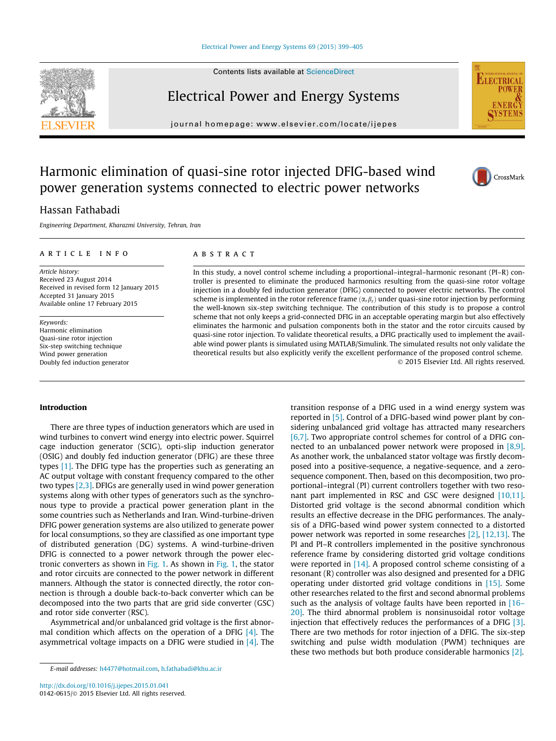#### [Electrical Power and Energy Systems 69 \(2015\) 399–405](http://dx.doi.org/10.1016/j.ijepes.2015.01.041)

Contents lists available at [ScienceDirect](http://www.sciencedirect.com/science/journal/01420615)

## Electrical Power and Energy Systems

journal homepage: [www.elsevier.com/locate/ijepes](http://www.elsevier.com/locate/ijepes)





## Harmonic elimination of quasi-sine rotor injected DFIG-based wind power generation systems connected to electric power networks



### Hassan Fathabadi

Engineering Department, Kharazmi University, Tehran, Iran

#### article info

Article history: Received 23 August 2014 Received in revised form 12 January 2015 Accepted 31 January 2015 Available online 17 February 2015

Keywords: Harmonic elimination Quasi-sine rotor injection Six-step switching technique Wind power generation Doubly fed induction generator

#### abstract

In this study, a novel control scheme including a proportional–integral–harmonic resonant (PI–R) controller is presented to eliminate the produced harmonics resulting from the quasi-sine rotor voltage injection in a doubly fed induction generator (DFIG) connected to power electric networks. The control scheme is implemented in the rotor reference frame  $(\alpha_r \beta_r)$  under quasi-sine rotor injection by performing the well-known six-step switching technique. The contribution of this study is to propose a control scheme that not only keeps a grid-connected DFIG in an acceptable operating margin but also effectively eliminates the harmonic and pulsation components both in the stator and the rotor circuits caused by quasi-sine rotor injection. To validate theoretical results, a DFIG practically used to implement the available wind power plants is simulated using MATLAB/Simulink. The simulated results not only validate the theoretical results but also explicitly verify the excellent performance of the proposed control scheme. - 2015 Elsevier Ltd. All rights reserved.

#### Introduction

There are three types of induction generators which are used in wind turbines to convert wind energy into electric power. Squirrel cage induction generator (SCIG), opti-slip induction generator (OSIG) and doubly fed induction generator (DFIG) are these three types [\[1\]](#page--1-0). The DFIG type has the properties such as generating an AC output voltage with constant frequency compared to the other two types [\[2,3\].](#page--1-0) DFIGs are generally used in wind power generation systems along with other types of generators such as the synchronous type to provide a practical power generation plant in the some countries such as Netherlands and Iran. Wind-turbine-driven DFIG power generation systems are also utilized to generate power for local consumptions, so they are classified as one important type of distributed generation (DG) systems. A wind-turbine-driven DFIG is connected to a power network through the power electronic converters as shown in [Fig. 1](#page-1-0). As shown in [Fig. 1](#page-1-0), the stator and rotor circuits are connected to the power network in different manners. Although the stator is connected directly, the rotor connection is through a double back-to-back converter which can be decomposed into the two parts that are grid side converter (GSC) and rotor side converter (RSC).

Asymmetrical and/or unbalanced grid voltage is the first abnormal condition which affects on the operation of a DFIG  $[4]$ . The asymmetrical voltage impacts on a DFIG were studied in  $[4]$ . The transition response of a DFIG used in a wind energy system was reported in [\[5\].](#page--1-0) Control of a DFIG-based wind power plant by considering unbalanced grid voltage has attracted many researchers [\[6,7\].](#page--1-0) Two appropriate control schemes for control of a DFIG connected to an unbalanced power network were proposed in  $[8,9]$ . As another work, the unbalanced stator voltage was firstly decomposed into a positive-sequence, a negative-sequence, and a zerosequence component. Then, based on this decomposition, two proportional–integral (PI) current controllers together with two resonant part implemented in RSC and GSC were designed [\[10,11\].](#page--1-0) Distorted grid voltage is the second abnormal condition which results an effective decrease in the DFIG performances. The analysis of a DFIG-based wind power system connected to a distorted power network was reported in some researches [\[2\]](#page--1-0), [\[12,13\].](#page--1-0) The PI and PI–R controllers implemented in the positive synchronous reference frame by considering distorted grid voltage conditions were reported in [\[14\].](#page--1-0) A proposed control scheme consisting of a resonant (R) controller was also designed and presented for a DFIG operating under distorted grid voltage conditions in [\[15\]](#page--1-0). Some other researches related to the first and second abnormal problems such as the analysis of voltage faults have been reported in [\[16–](#page--1-0) [20\].](#page--1-0) The third abnormal problem is nonsinusoidal rotor voltage injection that effectively reduces the performances of a DFIG [\[3\].](#page--1-0) There are two methods for rotor injection of a DFIG. The six-step switching and pulse width modulation (PWM) techniques are these two methods but both produce considerable harmonics [\[2\]](#page--1-0).

E-mail addresses: [h4477@hotmail.com](mailto:h4477@hotmail.com), [h.fathabadi@khu.ac.ir](mailto:h.fathabadi@khu.ac.ir)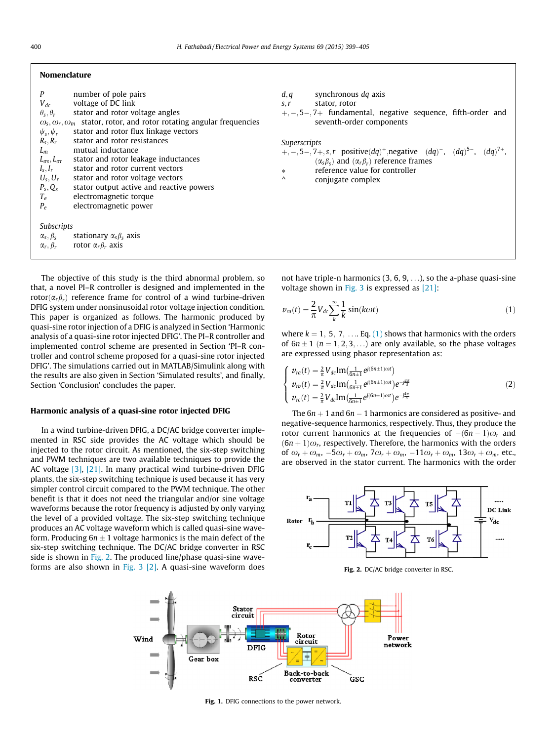#### <span id="page-1-0"></span>Nomenclature

| P                           | number of pole pairs                                                                                   |  |  |
|-----------------------------|--------------------------------------------------------------------------------------------------------|--|--|
|                             | $V_{dc}$ voltage of DC link                                                                            |  |  |
| $\theta_{s}$ , $\theta_{r}$ | stator and rotor voltage angles                                                                        |  |  |
|                             | $\omega_{\rm s}, \omega_{\rm r}, \omega_{\rm m}$ stator, rotor, and rotor rotating angular frequencies |  |  |
|                             | $\psi_s$ , $\psi_r$ stator and rotor flux linkage vectors                                              |  |  |
|                             | $R_s$ , $R_r$ stator and rotor resistances                                                             |  |  |
|                             | $L_m$ mutual inductance                                                                                |  |  |
|                             | $L_{\sigma s}$ , $L_{\sigma r}$ stator and rotor leakage inductances                                   |  |  |
| $I_s, I_r$                  | stator and rotor current vectors                                                                       |  |  |
|                             | $U_s, U_r$ stator and rotor voltage vectors                                                            |  |  |
|                             | $P_s, Q_s$ stator output active and reactive powers                                                    |  |  |
|                             | $T_e$ electromagnetic torque                                                                           |  |  |
| $P_e$                       | electromagnetic power                                                                                  |  |  |
|                             |                                                                                                        |  |  |
| Subscripts                  |                                                                                                        |  |  |
|                             | $\alpha_s, \beta_s$ stationary $\alpha_s \beta_s$ axis                                                 |  |  |
|                             | $\alpha_r, \beta_r$ rotor $\alpha_r \beta_r$ axis                                                      |  |  |
|                             |                                                                                                        |  |  |

The objective of this study is the third abnormal problem, so that, a novel PI–R controller is designed and implemented in the rotor $(\alpha_r \beta_r)$  reference frame for control of a wind turbine-driven DFIG system under nonsinusoidal rotor voltage injection condition. This paper is organized as follows. The harmonic produced by quasi-sine rotor injection of a DFIG is analyzed in Section 'Harmonic analysis of a quasi-sine rotor injected DFIG'. The PI–R controller and implemented control scheme are presented in Section 'PI–R controller and control scheme proposed for a quasi-sine rotor injected DFIG'. The simulations carried out in MATLAB/Simulink along with the results are also given in Section 'Simulated results', and finally, Section 'Conclusion' concludes the paper.

#### Harmonic analysis of a quasi-sine rotor injected DFIG

In a wind turbine-driven DFIG, a DC/AC bridge converter implemented in RSC side provides the AC voltage which should be injected to the rotor circuit. As mentioned, the six-step switching and PWM techniques are two available techniques to provide the AC voltage [\[3\],](#page--1-0) [\[21\]](#page--1-0). In many practical wind turbine-driven DFIG plants, the six-step switching technique is used because it has very simpler control circuit compared to the PWM technique. The other benefit is that it does not need the triangular and/or sine voltage waveforms because the rotor frequency is adjusted by only varying the level of a provided voltage. The six-step switching technique produces an AC voltage waveform which is called quasi-sine waveform. Producing 6 $n\pm 1$  voltage harmonics is the main defect of the six-step switching technique. The DC/AC bridge converter in RSC side is shown in Fig. 2. The produced line/phase quasi-sine waveforms are also shown in Fig.  $3$  [2]. A quasi-sine waveform does

| synchronous dq axis<br>d, q<br>stator, rotor                                                                                                                                                                                                          |  |
|-------------------------------------------------------------------------------------------------------------------------------------------------------------------------------------------------------------------------------------------------------|--|
| S, r<br>$+,-,5-,7+$ fundamental, negative sequence, fifth-order and<br>seventh-order components                                                                                                                                                       |  |
| Superscripts<br>$+, -, 5-, 7+, s, r$ positive(dq) <sup>+</sup> , negative (dq) <sup>-</sup> , (dq) <sup>5-</sup> , (dq) <sup>7+</sup> ,<br>$(\alpha_s \beta_s)$ and $(\alpha_r \beta_r)$ reference frames<br>reference value for controller<br>$\ast$ |  |
| $\wedge$<br>conjugate complex                                                                                                                                                                                                                         |  |

not have triple-n harmonics  $(3, 6, 9, \ldots)$ , so the a-phase quasi-sine voltage shown in [Fig. 3](#page--1-0) is expressed as [\[21\]:](#page--1-0)

$$
v_{ra}(t) = \frac{2}{\pi} V_{dc} \sum_{k}^{\infty} \frac{1}{k} \sin(k\omega t)
$$
 (1)

where  $k = 1, 5, 7, \ldots$  Eq. (1) shows that harmonics with the orders of  $6n \pm 1$   $(n = 1, 2, 3, ...)$  are only available, so the phase voltages are expressed using phasor representation as:

$$
\begin{cases}\n v_{ra}(t) = \frac{2}{\pi} V_{dc} \text{Im}(\frac{1}{6n+1} e^{j(6n+1)\omega t}) \\
v_{rb}(t) = \frac{2}{\pi} V_{dc} \text{Im}(\frac{1}{6n+1} e^{j(6n+1)\omega t}) e^{-j\frac{2\pi}{3}} \\
v_{rc}(t) = \frac{2}{\pi} V_{dc} \text{Im}(\frac{1}{6n+1} e^{j(6n+1)\omega t}) e^{-j\frac{4\pi}{3}}\n\end{cases}
$$
\n(2)

The  $6n + 1$  and  $6n - 1$  harmonics are considered as positive- and negative-sequence harmonics, respectively. Thus, they produce the rotor current harmonics at the frequencies of  $-(6n - 1)\omega_r$  and  $(6n + 1)\omega_r$ , respectively. Therefore, the harmonics with the orders of  $\omega_r + \omega_m$ ,  $-5\omega_r + \omega_m$ ,  $7\omega_r + \omega_m$ ,  $-11\omega_r + \omega_m$ ,  $13\omega_r + \omega_m$ , etc., are observed in the stator current. The harmonics with the order



Fig. 2. DC/AC bridge converter in RSC.



Fig. 1. DFIG connections to the power network.